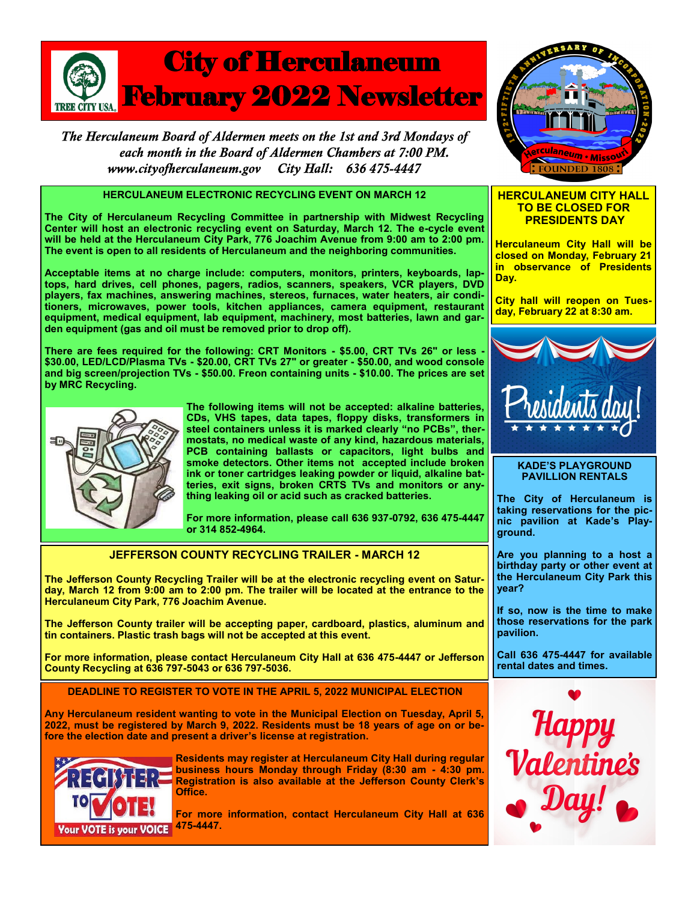

The Herculaneum Board of Aldermen meets on the 1st and 3rd Mondays of each month in the Board of Aldermen Chambers at 7:00 PM. City Hall: 636 475-4447 www.cityofherculaneum.gov

# **HERCULANEUM ELECTRONIC RECYCLING EVENT ON MARCH 12**

**The City of Herculaneum Recycling Committee in partnership with Midwest Recycling Center will host an electronic recycling event on Saturday, March 12. The e-cycle event will be held at the Herculaneum City Park, 776 Joachim Avenue from 9:00 am to 2:00 pm. The event is open to all residents of Herculaneum and the neighboring communities.**

**Acceptable items at no charge include: computers, monitors, printers, keyboards, laptops, hard drives, cell phones, pagers, radios, scanners, speakers, VCR players, DVD players, fax machines, answering machines, stereos, furnaces, water heaters, air conditioners, microwaves, power tools, kitchen appliances, camera equipment, restaurant equipment, medical equipment, lab equipment, machinery, most batteries, lawn and garden equipment (gas and oil must be removed prior to drop off).** 

**There are fees required for the following: CRT Monitors - \$5.00, CRT TVs 26" or less - \$30.00, LED/LCD/Plasma TVs - \$20.00, CRT TVs 27" or greater - \$50.00, and wood console and big screen/projection TVs - \$50.00. Freon containing units - \$10.00. The prices are set by MRC Recycling.**



**The following items will not be accepted: alkaline batteries, CDs, VHS tapes, data tapes, floppy disks, transformers in steel containers unless it is marked clearly "no PCBs", thermostats, no medical waste of any kind, hazardous materials, PCB containing ballasts or capacitors, light bulbs and smoke detectors. Other items not accepted include broken ink or toner cartridges leaking powder or liquid, alkaline batteries, exit signs, broken CRTS TVs and monitors or anything leaking oil or acid such as cracked batteries.**

**For more information, please call 636 937-0792, 636 475-4447 or 314 852-4964.**

## **JEFFERSON COUNTY RECYCLING TRAILER - MARCH 12**

**The Jefferson County Recycling Trailer will be at the electronic recycling event on Saturday, March 12 from 9:00 am to 2:00 pm. The trailer will be located at the entrance to the Herculaneum City Park, 776 Joachim Avenue.**

**The Jefferson County trailer will be accepting paper, cardboard, plastics, aluminum and tin containers. Plastic trash bags will not be accepted at this event.**

**For more information, please contact Herculaneum City Hall at 636 475-4447 or Jefferson County Recycling at 636 797-5043 or 636 797-5036.** 

**DEADLINE TO REGISTER TO VOTE IN THE APRIL 5, 2022 MUNICIPAL ELECTION**

**Any Herculaneum resident wanting to vote in the Municipal Election on Tuesday, April 5, 2022, must be registered by March 9, 2022. Residents must be 18 years of age on or before the election date and present a driver's license at registration.**



**Residents may register at Herculaneum City Hall during regular business hours Monday through Friday (8:30 am - 4:30 pm. Registration is also available at the Jefferson County Clerk's Office.** 

**For more information, contact Herculaneum City Hall at 636** 



### **HERCULANEUM CITY HALL TO BE CLOSED FOR PRESIDENTS DAY**

**Herculaneum City Hall will be closed on Monday, February 21 in observance of Presidents Day.** 

**City hall will reopen on Tuesday, February 22 at 8:30 am.**



#### **KADE'S PLAYGROUND PAVILLION RENTALS**

**The City of Herculaneum is taking reservations for the picnic pavilion at Kade's Playground.**

**Are you planning to a host a birthday party or other event at the Herculaneum City Park this year?**

**If so, now is the time to make those reservations for the park pavilion.**

**Call 636 475-4447 for available rental dates and times.**